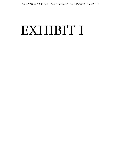## EXHIBIT I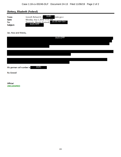## Slattery, Elizabeth (Federal)

| From:    | (b)(6)<br>Grenell, Richard A <<br>state.gov>    |
|----------|-------------------------------------------------|
| Sent:    | Monday, July 2, 2018 11:55 AM                   |
| To:      | $(b)$ (6) non-Gov<br>Teramoto, Wendy (Federal); |
| Subject: | $(b)(5)$ DPP                                    |

Sec. Ross and Wendy,

|                                    | $(b)(5)$ DPP |  |  |
|------------------------------------|--------------|--|--|
|                                    |              |  |  |
|                                    |              |  |  |
|                                    |              |  |  |
|                                    |              |  |  |
|                                    |              |  |  |
| (b)(6)<br>My german cell number is |              |  |  |
| <b>Ric Grenell</b>                 |              |  |  |

**Official** UNCLASSIFIED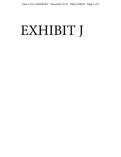# EXHIBIT J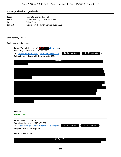## **Slattery, Elizabeth (Federal)**

| From:    | Teramoto, Wendy (Federal)                |
|----------|------------------------------------------|
| Sent:    | Wednesday, July 4, 2018 10:07 AM         |
| To:      | <b>Wilbur Ross</b>                       |
| Subject: | Fwd: just finished with German auto CEOs |

Sent from my iPhone

Begin forwarded message:

| <b>From:</b> "Grenell, Richard A" $\leq$ (b) (6)<br>@state.gov><br>Date: July 4, 2018 at 9:12:36 AM EDT<br>$(b)$ $(6)$ non-Gov<br>$(b)$ $(6)$ non-Gov<br>ہے "<br>To: "Wteramoto@doc.gov" <wteramoto@doc.gov>, "<br/>Subject: just finished with German auto CEOs</wteramoto@doc.gov> |
|--------------------------------------------------------------------------------------------------------------------------------------------------------------------------------------------------------------------------------------------------------------------------------------|
| $(b)(5)$ DPP                                                                                                                                                                                                                                                                         |
|                                                                                                                                                                                                                                                                                      |
|                                                                                                                                                                                                                                                                                      |
|                                                                                                                                                                                                                                                                                      |
|                                                                                                                                                                                                                                                                                      |
|                                                                                                                                                                                                                                                                                      |
|                                                                                                                                                                                                                                                                                      |
|                                                                                                                                                                                                                                                                                      |
|                                                                                                                                                                                                                                                                                      |
|                                                                                                                                                                                                                                                                                      |
|                                                                                                                                                                                                                                                                                      |
| <b>Official</b>                                                                                                                                                                                                                                                                      |
| <b>UNCLASSIFIED</b>                                                                                                                                                                                                                                                                  |
| From: Grenell, Richard A                                                                                                                                                                                                                                                             |
| Sent: Monday, July 2, 2018 5:55 PM<br>$(b)$ $(6)$ non-Gov<br>$(b)$ $(6)$ non-Gov<br>To: 'Wteramoto@doc.gov' <wteramoto@doc.gov>;<br/><math>\geq</math></wteramoto@doc.gov>                                                                                                           |
| Subject: German auto update                                                                                                                                                                                                                                                          |
| Sec. Ross and Wendy,                                                                                                                                                                                                                                                                 |
| $(b)(5)$ DPP                                                                                                                                                                                                                                                                         |